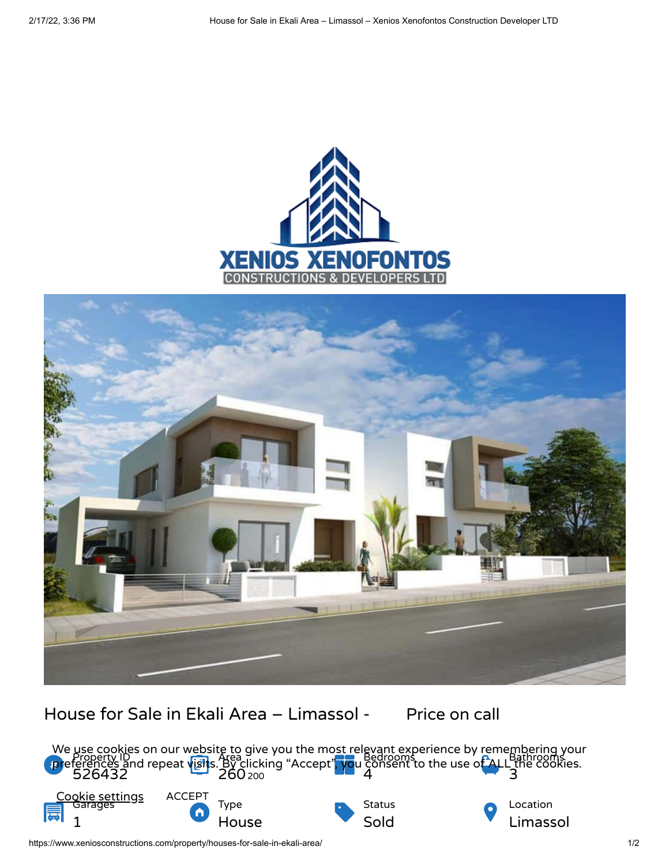



House for Sale in Ekali Area - Limassol - Price on call



https://www.xeniosconstructions.com/property/houses-for-sale-in-ekali-area/ 1/2